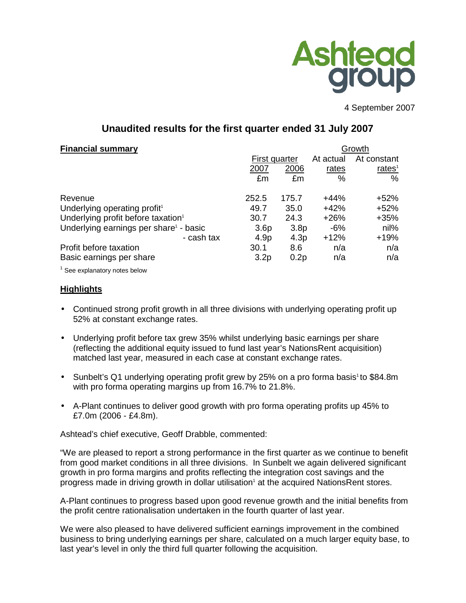

4 September 2007

# **Unaudited results for the first quarter ended 31 July 2007**

## **Financial summary** Growth **Growth** Growth **Growth**

|                                                    | First quarter    |                  | At actual | At constant |  |
|----------------------------------------------------|------------------|------------------|-----------|-------------|--|
|                                                    | 2007             | 2006             | rates     | rates $1$   |  |
|                                                    | £m               | £m               | $\%$      | $\%$        |  |
| Revenue                                            | 252.5            | 175.7            | $+44%$    | $+52%$      |  |
| Underlying operating profit <sup>1</sup>           | 49.7             | 35.0             | $+42%$    | $+52%$      |  |
| Underlying profit before taxation <sup>1</sup>     | 30.7             | 24.3             | $+26%$    | $+35%$      |  |
| Underlying earnings per share <sup>1</sup> - basic | 3.6 <sub>p</sub> | 3.8 <sub>p</sub> | -6%       | nil%        |  |
| - cash tax                                         | 4.9 <sub>p</sub> | 4.3p             | $+12%$    | $+19%$      |  |
| Profit before taxation                             | 30.1             | 8.6              | n/a       | n/a         |  |
| Basic earnings per share                           | 3.2 <sub>p</sub> | 0.2p             | n/a       | n/a         |  |
|                                                    |                  |                  |           |             |  |

 $1$  See explanatory notes below

## **Highlights**

- Continued strong profit growth in all three divisions with underlying operating profit up 52% at constant exchange rates.
- Underlying profit before tax grew 35% whilst underlying basic earnings per share (reflecting the additional equity issued to fund last year's NationsRent acquisition) matched last year, measured in each case at constant exchange rates.
- Sunbelt's Q1 underlying operating profit grew by 25% on a pro forma basis<sup>1</sup> to \$84.8m with pro forma operating margins up from 16.7% to 21.8%.
- A-Plant continues to deliver good growth with pro forma operating profits up 45% to £7.0m (2006 - £4.8m).

Ashtead's chief executive, Geoff Drabble, commented:

"We are pleased to report a strong performance in the first quarter as we continue to benefit from good market conditions in all three divisions. In Sunbelt we again delivered significant growth in pro forma margins and profits reflecting the integration cost savings and the progress made in driving growth in dollar utilisation<sup>1</sup> at the acquired NationsRent stores.

A-Plant continues to progress based upon good revenue growth and the initial benefits from the profit centre rationalisation undertaken in the fourth quarter of last year.

We were also pleased to have delivered sufficient earnings improvement in the combined business to bring underlying earnings per share, calculated on a much larger equity base, to last year's level in only the third full quarter following the acquisition.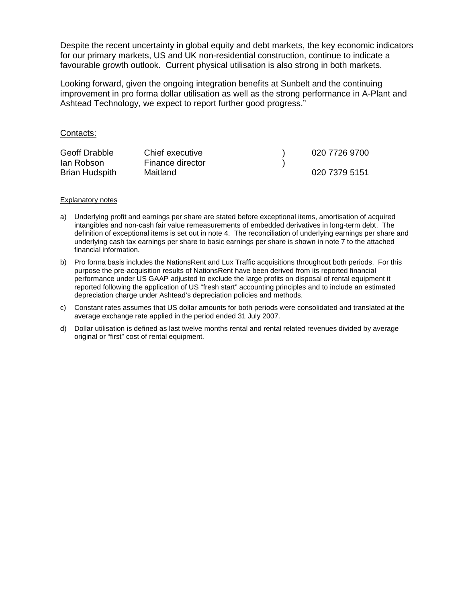Despite the recent uncertainty in global equity and debt markets, the key economic indicators for our primary markets, US and UK non-residential construction, continue to indicate a favourable growth outlook. Current physical utilisation is also strong in both markets.

Looking forward, given the ongoing integration benefits at Sunbelt and the continuing improvement in pro forma dollar utilisation as well as the strong performance in A-Plant and Ashtead Technology, we expect to report further good progress."

### Contacts:

| Geoff Drabble         | Chief executive  | 020 7726 9700 |
|-----------------------|------------------|---------------|
| lan Robson            | Finance director |               |
| <b>Brian Hudspith</b> | Maitland         | 020 7379 5151 |

#### Explanatory notes

- a) Underlying profit and earnings per share are stated before exceptional items, amortisation of acquired intangibles and non-cash fair value remeasurements of embedded derivatives in long-term debt. The definition of exceptional items is set out in note 4. The reconciliation of underlying earnings per share and underlying cash tax earnings per share to basic earnings per share is shown in note 7 to the attached financial information.
- b) Pro forma basis includes the NationsRent and Lux Traffic acquisitions throughout both periods. For this purpose the pre-acquisition results of NationsRent have been derived from its reported financial performance under US GAAP adjusted to exclude the large profits on disposal of rental equipment it reported following the application of US "fresh start" accounting principles and to include an estimated depreciation charge under Ashtead's depreciation policies and methods.
- c) Constant rates assumes that US dollar amounts for both periods were consolidated and translated at the average exchange rate applied in the period ended 31 July 2007.
- d) Dollar utilisation is defined as last twelve months rental and rental related revenues divided by average original or "first" cost of rental equipment.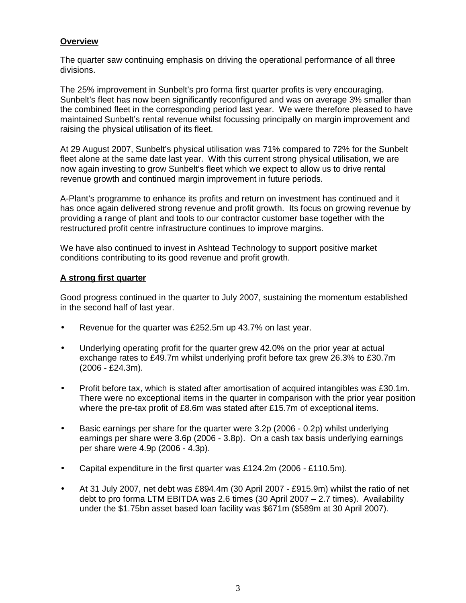## **Overview**

The quarter saw continuing emphasis on driving the operational performance of all three divisions.

The 25% improvement in Sunbelt's pro forma first quarter profits is very encouraging. Sunbelt's fleet has now been significantly reconfigured and was on average 3% smaller than the combined fleet in the corresponding period last year. We were therefore pleased to have maintained Sunbelt's rental revenue whilst focussing principally on margin improvement and raising the physical utilisation of its fleet.

At 29 August 2007, Sunbelt's physical utilisation was 71% compared to 72% for the Sunbelt fleet alone at the same date last year. With this current strong physical utilisation, we are now again investing to grow Sunbelt's fleet which we expect to allow us to drive rental revenue growth and continued margin improvement in future periods.

A-Plant's programme to enhance its profits and return on investment has continued and it has once again delivered strong revenue and profit growth. Its focus on growing revenue by providing a range of plant and tools to our contractor customer base together with the restructured profit centre infrastructure continues to improve margins.

We have also continued to invest in Ashtead Technology to support positive market conditions contributing to its good revenue and profit growth.

## **A strong first quarter**

Good progress continued in the quarter to July 2007, sustaining the momentum established in the second half of last year.

- Revenue for the quarter was £252.5m up 43.7% on last year.
- Underlying operating profit for the quarter grew 42.0% on the prior year at actual exchange rates to £49.7m whilst underlying profit before tax grew 26.3% to £30.7m (2006 - £24.3m).
- Profit before tax, which is stated after amortisation of acquired intangibles was £30.1m. There were no exceptional items in the quarter in comparison with the prior year position where the pre-tax profit of £8.6m was stated after £15.7m of exceptional items.
- Basic earnings per share for the quarter were 3.2p (2006 0.2p) whilst underlying earnings per share were 3.6p (2006 - 3.8p). On a cash tax basis underlying earnings per share were 4.9p (2006 - 4.3p).
- Capital expenditure in the first quarter was £124.2m (2006 £110.5m).
- At 31 July 2007, net debt was £894.4m (30 April 2007 £915.9m) whilst the ratio of net debt to pro forma LTM EBITDA was 2.6 times (30 April 2007 – 2.7 times). Availability under the \$1.75bn asset based loan facility was \$671m (\$589m at 30 April 2007).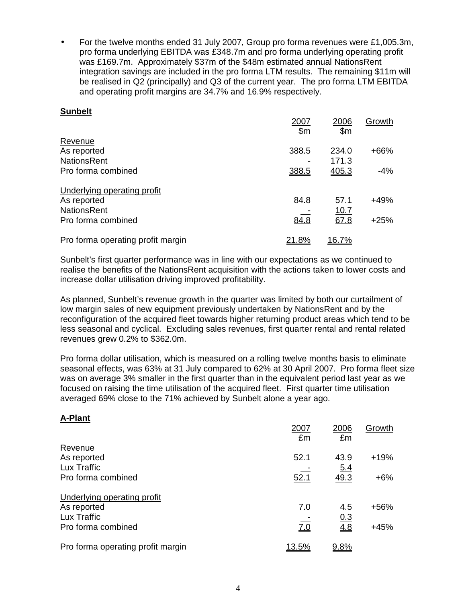• For the twelve months ended 31 July 2007, Group pro forma revenues were £1,005.3m, pro forma underlying EBITDA was £348.7m and pro forma underlying operating profit was £169.7m. Approximately \$37m of the \$48m estimated annual NationsRent integration savings are included in the pro forma LTM results. The remaining \$11m will be realised in Q2 (principally) and Q3 of the current year. The pro forma LTM EBITDA and operating profit margins are 34.7% and 16.9% respectively.

## **Sunbelt**

|                                   | 2007<br>$\mathsf{S}$ m | 2006<br>\$m   | Growth |
|-----------------------------------|------------------------|---------------|--------|
| Revenue                           |                        |               |        |
| As reported                       | 388.5                  | 234.0         | +66%   |
| <b>NationsRent</b>                |                        | 171.3         |        |
| Pro forma combined                | 388.5                  | 405.3         | -4%    |
| Underlying operating profit       |                        |               |        |
| As reported                       | 84.8                   | 57.1          | +49%   |
| <b>NationsRent</b>                |                        | 10.7          |        |
| Pro forma combined                | 84.8                   | 67.8          | $+25%$ |
| Pro forma operating profit margin | <u> 21.8%</u>          | <u> 16.7%</u> |        |

Sunbelt's first quarter performance was in line with our expectations as we continued to realise the benefits of the NationsRent acquisition with the actions taken to lower costs and increase dollar utilisation driving improved profitability.

As planned, Sunbelt's revenue growth in the quarter was limited by both our curtailment of low margin sales of new equipment previously undertaken by NationsRent and by the reconfiguration of the acquired fleet towards higher returning product areas which tend to be less seasonal and cyclical. Excluding sales revenues, first quarter rental and rental related revenues grew 0.2% to \$362.0m.

Pro forma dollar utilisation, which is measured on a rolling twelve months basis to eliminate seasonal effects, was 63% at 31 July compared to 62% at 30 April 2007. Pro forma fleet size was on average 3% smaller in the first quarter than in the equivalent period last year as we focused on raising the time utilisation of the acquired fleet. First quarter time utilisation averaged 69% close to the 71% achieved by Sunbelt alone a year ago.

## **A-Plant**

|                                   | 2007<br>£m | 2006<br>£m | Growth |
|-----------------------------------|------------|------------|--------|
| Revenue                           |            |            |        |
| As reported                       | 52.1       | 43.9       | $+19%$ |
| Lux Traffic                       |            | 5.4        |        |
| Pro forma combined                | 52.1       | 49.3       | $+6\%$ |
| Underlying operating profit       |            |            |        |
| As reported                       | 7.0        | 4.5        | $+56%$ |
| Lux Traffic                       |            | 0.3        |        |
| Pro forma combined                | 7.0        | 4.8        | $+45%$ |
| Pro forma operating profit margin | 13.5%      | 9.8%       |        |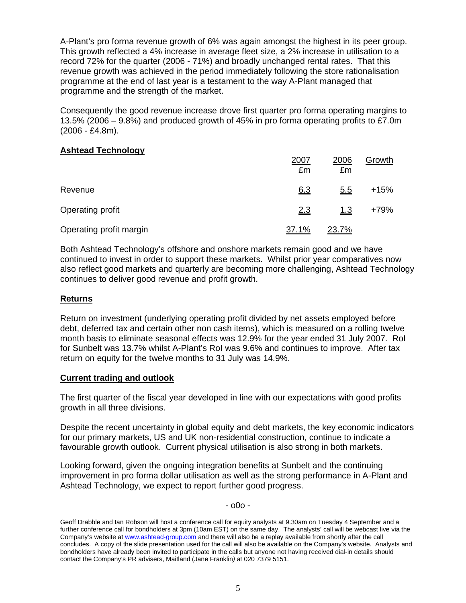A-Plant's pro forma revenue growth of 6% was again amongst the highest in its peer group. This growth reflected a 4% increase in average fleet size, a 2% increase in utilisation to a record 72% for the quarter (2006 - 71%) and broadly unchanged rental rates. That this revenue growth was achieved in the period immediately following the store rationalisation programme at the end of last year is a testament to the way A-Plant managed that programme and the strength of the market.

Consequently the good revenue increase drove first quarter pro forma operating margins to 13.5% (2006 – 9.8%) and produced growth of 45% in pro forma operating profits to £7.0m (2006 - £4.8m).

## **Ashtead Technology**

| .                       | 2007<br>£m | 2006<br>£m | Growth |
|-------------------------|------------|------------|--------|
| Revenue                 | 6.3        | <u>5.5</u> | $+15%$ |
| Operating profit        | 2.3        | 1.3        | +79%   |
| Operating profit margin | 37.1%      | 23.7%      |        |

Both Ashtead Technology's offshore and onshore markets remain good and we have continued to invest in order to support these markets. Whilst prior year comparatives now also reflect good markets and quarterly are becoming more challenging, Ashtead Technology continues to deliver good revenue and profit growth.

## **Returns**

Return on investment (underlying operating profit divided by net assets employed before debt, deferred tax and certain other non cash items), which is measured on a rolling twelve month basis to eliminate seasonal effects was 12.9% for the year ended 31 July 2007. RoI for Sunbelt was 13.7% whilst A-Plant's RoI was 9.6% and continues to improve. After tax return on equity for the twelve months to 31 July was 14.9%.

## **Current trading and outlook**

The first quarter of the fiscal year developed in line with our expectations with good profits growth in all three divisions.

Despite the recent uncertainty in global equity and debt markets, the key economic indicators for our primary markets, US and UK non-residential construction, continue to indicate a favourable growth outlook. Current physical utilisation is also strong in both markets.

Looking forward, given the ongoing integration benefits at Sunbelt and the continuing improvement in pro forma dollar utilisation as well as the strong performance in A-Plant and Ashtead Technology, we expect to report further good progress.

- o0o -

Geoff Drabble and Ian Robson will host a conference call for equity analysts at 9.30am on Tuesday 4 September and a further conference call for bondholders at 3pm (10am EST) on the same day. The analysts' call will be webcast live via the Company's website at www.ashtead-group.com and there will also be a replay available from shortly after the call concludes. A copy of the slide presentation used for the call will also be available on the Company's website. Analysts and bondholders have already been invited to participate in the calls but anyone not having received dial-in details should contact the Company's PR advisers, Maitland (Jane Franklin) at 020 7379 5151.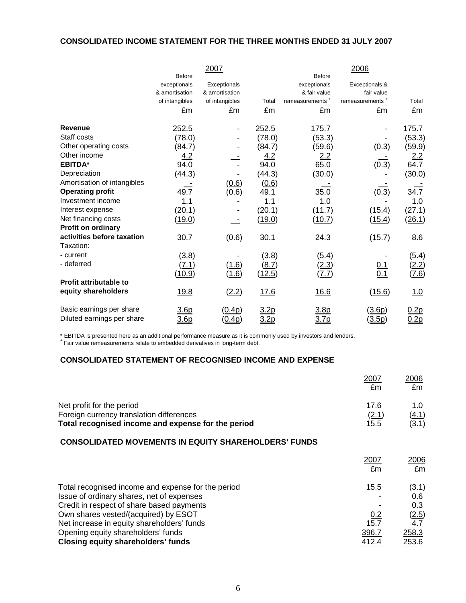## **CONSOLIDATED INCOME STATEMENT FOR THE THREE MONTHS ENDED 31 JULY 2007**

|                               |                | 2007           |               |                             | 2006                        |              |
|-------------------------------|----------------|----------------|---------------|-----------------------------|-----------------------------|--------------|
|                               | <b>Before</b>  |                |               | <b>Before</b>               |                             |              |
|                               | exceptionals   | Exceptionals   |               | exceptionals                | Exceptionals &              |              |
|                               | & amortisation | & amortisation |               | & fair value                | fair value                  |              |
|                               | of intangibles | of intangibles | Total         | remeasurements <sup>+</sup> | remeasurements <sup>+</sup> | Total        |
|                               | £m             | £m             | £m            | £m                          | £m                          | £m           |
| Revenue                       | 252.5          |                | 252.5         | 175.7                       |                             | 175.7        |
| Staff costs                   | (78.0)         |                | (78.0)        | (53.3)                      |                             | (53.3)       |
| Other operating costs         | (84.7)         |                | (84.7)        | (59.6)                      | (0.3)                       | (59.9)       |
| Other income                  | 4.2            |                | 4.2           | 2.2                         |                             | <u>2.2</u>   |
| <b>EBITDA*</b>                | 94.0           |                | 94.0          | 65.0                        | (0.3)                       | 64.7         |
| Depreciation                  | (44.3)         |                | (44.3)        | (30.0)                      |                             | (30.0)       |
| Amortisation of intangibles   |                | (0.6)          | (0.6)         |                             |                             |              |
| <b>Operating profit</b>       | 49.7           | (0.6)          | 49.1          | 35.0                        | (0.3)                       | 34.7         |
| Investment income             | 1.1            |                | 1.1           | 1.0                         |                             | 1.0          |
| Interest expense              | (20.1)         |                | <u>(20.1)</u> | (11.7)                      | (15.4)                      | (27.1)       |
| Net financing costs           | (19.0)         |                | (19.0)        | (10.7)                      | (15.4)                      | (26.1)       |
| <b>Profit on ordinary</b>     |                |                |               |                             |                             |              |
| activities before taxation    | 30.7           | (0.6)          | 30.1          | 24.3                        | (15.7)                      | 8.6          |
| Taxation:                     |                |                |               |                             |                             |              |
| - current                     | (3.8)          |                | (3.8)         | (5.4)                       |                             | (5.4)        |
| - deferred                    | (7.1)          | (1.6)          | (8.7)         | <u>(2.3)</u>                | $\frac{0.1}{0.1}$           | <u>(2.2)</u> |
|                               | <u>(10.9)</u>  | (1.6)          | <u>(12.5)</u> | <u>(7.7)</u>                |                             | (7.6)        |
| <b>Profit attributable to</b> |                |                |               |                             |                             |              |
| equity shareholders           | <u>19.8</u>    | (2.2)          | 17.6          | 16.6                        | (15.6)                      | 1.0          |
| Basic earnings per share      | 3.6p           | <u>(0.4p)</u>  | 3.2p          | <u>3.8p</u>                 | (3.6p)                      | 0.2p         |
| Diluted earnings per share    | <u>3.6p</u>    | <u>(0.4p)</u>  | <u>3.2p</u>   | <u>3.7p</u>                 | <u>(3.5p)</u>               | 0.2p         |

\* EBITDA is presented here as an additional performance measure as it is commonly used by investors and lenders. <sup>+</sup>Fair value remeasurements relate to embedded derivatives in long-term debt.

## **CONSOLIDATED STATEMENT OF RECOGNISED INCOME AND EXPENSE**

|                                                                                                                                 | 2007<br>£m            | 2006<br>£m                   |
|---------------------------------------------------------------------------------------------------------------------------------|-----------------------|------------------------------|
| Net profit for the period<br>Foreign currency translation differences<br>Total recognised income and expense for the period     | 17.6<br>(2.1)<br>15.5 | 1.0<br><u>(4.1)</u><br>(3.1) |
| <b>CONSOLIDATED MOVEMENTS IN EQUITY SHAREHOLDERS' FUNDS</b>                                                                     |                       |                              |
|                                                                                                                                 | 2007<br>£m            | 2006<br>£m                   |
| Total recognised income and expense for the period<br>Issue of ordinary shares, net of expenses                                 | 15.5                  | (3.1)<br>0.6                 |
| Credit in respect of share based payments<br>Own shares vested/(acquired) by ESOT<br>Net increase in equity shareholders' funds | 0.2<br>15.7           | 0.3<br>(2.5)<br>4.7          |
| Opening equity shareholders' funds<br><b>Closing equity shareholders' funds</b>                                                 | 396.7<br>412.4        | 258.3<br>253.6               |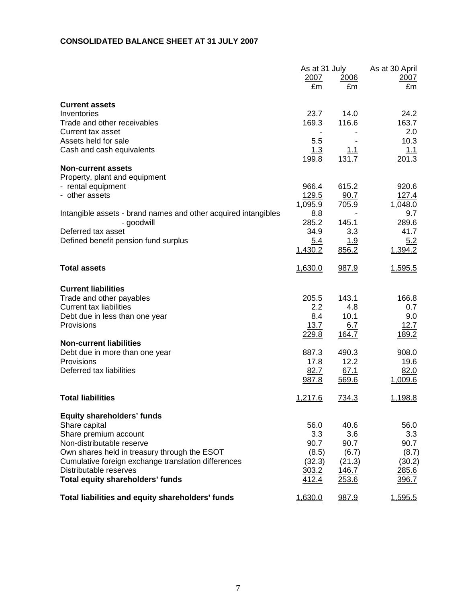## **CONSOLIDATED BALANCE SHEET AT 31 JULY 2007**

|                                                                | As at 31 July |              | As at 30 April |
|----------------------------------------------------------------|---------------|--------------|----------------|
|                                                                | 2007          | 2006         | 2007           |
|                                                                | £m            | £m           | £m             |
| <b>Current assets</b>                                          |               |              |                |
| Inventories                                                    | 23.7          | 14.0         | 24.2           |
| Trade and other receivables                                    | 169.3         | 116.6        | 163.7          |
| <b>Current tax asset</b>                                       |               |              | 2.0            |
| Assets held for sale                                           | 5.5           |              | 10.3           |
| Cash and cash equivalents                                      | 1.3           | <u>1.1</u>   | 1.1            |
|                                                                | 199.8         | 131.7        | 201.3          |
| <b>Non-current assets</b>                                      |               |              |                |
| Property, plant and equipment                                  |               |              |                |
| - rental equipment                                             | 966.4         | 615.2        | 920.6          |
| - other assets                                                 | 129.5         | 90.7         | 127.4          |
|                                                                | 1,095.9       | 705.9        | 1,048.0        |
| Intangible assets - brand names and other acquired intangibles | 8.8           |              | 9.7            |
| - goodwill                                                     | 285.2         | 145.1        | 289.6          |
| Deferred tax asset                                             | 34.9          | 3.3          | 41.7           |
| Defined benefit pension fund surplus                           | <u>5.4</u>    | <u> 1.9</u>  | 5.2            |
|                                                                | 1,430.2       | 856.2        | 1,394.2        |
| <b>Total assets</b>                                            | 1,630.0       | 987.9        | 1,595.5        |
| <b>Current liabilities</b>                                     |               |              |                |
| Trade and other payables                                       | 205.5         | 143.1        | 166.8          |
| Current tax liabilities                                        | 2.2           | 4.8          | 0.7            |
| Debt due in less than one year                                 | 8.4           | 10.1         | 9.0            |
| Provisions                                                     | <u>13.7</u>   | 6.7          | 12.7           |
|                                                                | 229.8         | 164.7        | 189.2          |
| <b>Non-current liabilities</b>                                 |               |              |                |
| Debt due in more than one year                                 | 887.3         | 490.3        | 908.0          |
| Provisions                                                     | 17.8          | 12.2         | 19.6           |
| Deferred tax liabilities                                       | 82.7          | 67.1         | 82.0           |
|                                                                | 987.8         | 569.6        | 1,009.6        |
| <b>Total liabilities</b>                                       | 1,217.6       | <u>734.3</u> | 1,198.8        |
| <b>Equity shareholders' funds</b>                              |               |              |                |
| Share capital                                                  | 56.0          | 40.6         | 56.0           |
| Share premium account                                          | 3.3           | 3.6          | 3.3            |
| Non-distributable reserve                                      | 90.7          | 90.7         | 90.7           |
| Own shares held in treasury through the ESOT                   | (8.5)         | (6.7)        | (8.7)          |
| Cumulative foreign exchange translation differences            | (32.3)        | (21.3)       | (30.2)         |
| Distributable reserves                                         | 303.2         | 146.7        | 285.6          |
| Total equity shareholders' funds                               | 412.4         | 253.6        | 396.7          |
| Total liabilities and equity shareholders' funds               | 1,630.0       | 987.9        | 1,595.5        |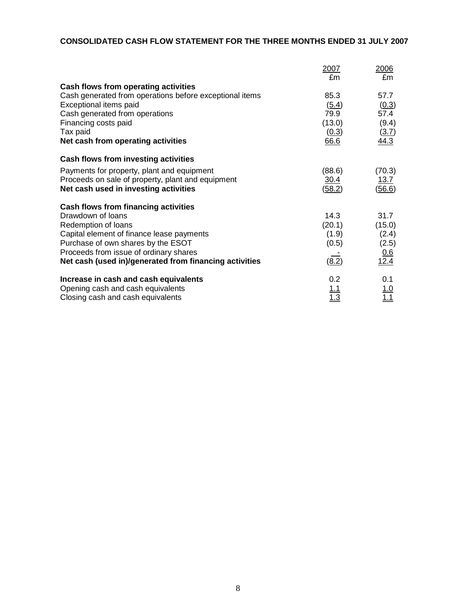## **CONSOLIDATED CASH FLOW STATEMENT FOR THE THREE MONTHS ENDED 31 JULY 2007**

|                                                         | 2007<br>£m | <u>2006</u><br>£m  |
|---------------------------------------------------------|------------|--------------------|
| Cash flows from operating activities                    |            |                    |
| Cash generated from operations before exceptional items | 85.3       | 57.7               |
| Exceptional items paid                                  | (5.4)      | (0.3)              |
| Cash generated from operations                          | 79.9       | 57.4               |
| Financing costs paid                                    | (13.0)     | (9.4)              |
| Tax paid                                                | (0.3)      | (3.7)              |
| Net cash from operating activities                      | 66.6       | 44.3               |
| <b>Cash flows from investing activities</b>             |            |                    |
| Payments for property, plant and equipment              | (88.6)     | (70.3)             |
| Proceeds on sale of property, plant and equipment       | 30.4       | 13.7               |
| Net cash used in investing activities                   | (58.2)     | (56.6)             |
| Cash flows from financing activities                    |            |                    |
| Drawdown of loans                                       | 14.3       | 31.7               |
| Redemption of loans                                     | (20.1)     | (15.0)             |
| Capital element of finance lease payments               | (1.9)      | (2.4)              |
| Purchase of own shares by the ESOT                      | (0.5)      | (2.5)              |
| Proceeds from issue of ordinary shares                  |            | $\frac{0.6}{12.4}$ |
| Net cash (used in)/generated from financing activities  | (8.2)      |                    |
| Increase in cash and cash equivalents                   | 0.2        | 0.1                |
| Opening cash and cash equivalents                       | 1.1        | <u>1.0</u>         |
| Closing cash and cash equivalents                       |            | 1.1                |
|                                                         |            |                    |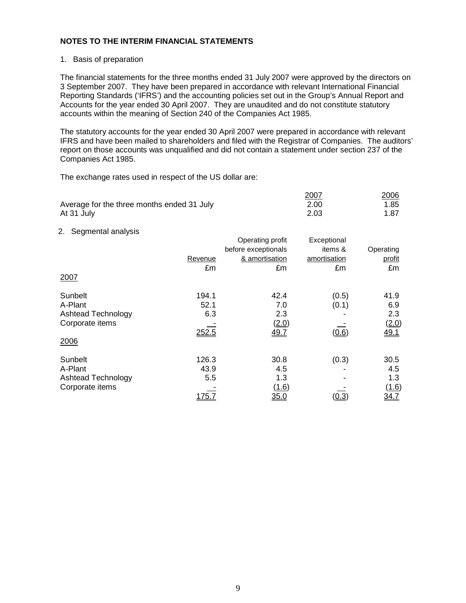### 1. Basis of preparation

The financial statements for the three months ended 31 July 2007 were approved by the directors on 3 September 2007. They have been prepared in accordance with relevant International Financial Reporting Standards ('IFRS') and the accounting policies set out in the Group's Annual Report and Accounts for the year ended 30 April 2007. They are unaudited and do not constitute statutory accounts within the meaning of Section 240 of the Companies Act 1985.

The statutory accounts for the year ended 30 April 2007 were prepared in accordance with relevant IFRS and have been mailed to shareholders and filed with the Registrar of Companies. The auditors' report on those accounts was unqualified and did not contain a statement under section 237 of the Companies Act 1985.

The exchange rates used in respect of the US dollar are:

|                                            | 2007 | 2006 |
|--------------------------------------------|------|------|
| Average for the three months ended 31 July | 2.00 | 1.85 |
| At 31 July                                 | 2.03 | 1.87 |

### 2. Segmental analysis

|                    |               | Operating profit    | Exceptional  |             |
|--------------------|---------------|---------------------|--------------|-------------|
|                    |               | before exceptionals | items &      | Operating   |
|                    | Revenue       | & amortisation      | amortisation | profit      |
|                    | £m            | £m                  | £m           | £m          |
| 2007               |               |                     |              |             |
| Sunbelt            | 194.1         | 42.4                | (0.5)        | 41.9        |
| A-Plant            | 52.1          | 7.0                 | (0.1)        | 6.9         |
| Ashtead Technology | 6.3           | 2.3                 |              | 2.3         |
| Corporate items    |               | (2.0)               |              | (2.0)       |
|                    | 252.5         | 49.7                | (0.6)        | 49.1        |
| 2006               |               |                     |              |             |
| Sunbelt            | 126.3         | 30.8                | (0.3)        | 30.5        |
| A-Plant            | 43.9          | 4.5                 |              | 4.5         |
| Ashtead Technology | 5.5           | 1.3                 |              | 1.3         |
| Corporate items    |               | (1.6)               |              | (1.6)       |
|                    | <u> 175.7</u> | 35.0                | <u>(0.3)</u> | <u>34.7</u> |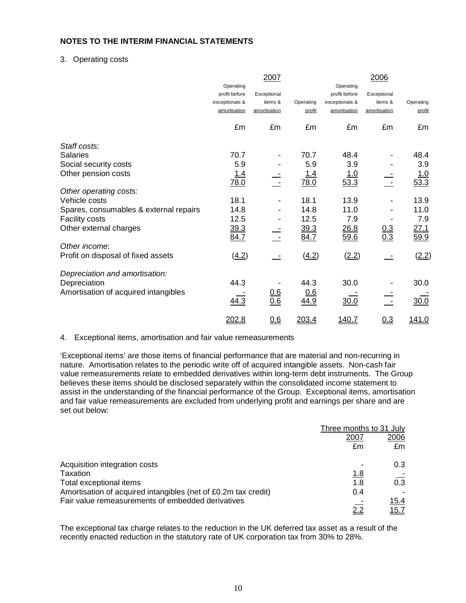### 3. Operating costs

|                                        |                | 2007              |            |                | 2006              |            |
|----------------------------------------|----------------|-------------------|------------|----------------|-------------------|------------|
|                                        | Operating      |                   |            | Operating      |                   |            |
|                                        | profit before  | Exceptional       |            | profit before  | Exceptional       |            |
|                                        | exceptionals & | items &           | Operating  | exceptionals & | items &           | Operating  |
|                                        | amortisation   | amortisation      | profit     | amortisation   | amortisation      | profit     |
|                                        | £m             | £m                | £m         | £m             | £m                | £m         |
| Staff costs:                           |                |                   |            |                |                   |            |
| <b>Salaries</b>                        | 70.7           |                   | 70.7       | 48.4           |                   | 48.4       |
| Social security costs                  | 5.9            |                   | 5.9        | 3.9            |                   | 3.9        |
| Other pension costs                    | <u>1.4</u>     |                   | <u>1.4</u> | <u>1.0</u>     |                   | <u>1.0</u> |
|                                        | 78.0           |                   | 78.0       | $\sqrt{53.3}$  |                   | 53.3       |
| Other operating costs:                 |                |                   |            |                |                   |            |
| Vehicle costs                          | 18.1           |                   | 18.1       | 13.9           |                   | 13.9       |
| Spares, consumables & external repairs | 14.8           |                   | 14.8       | 11.0           |                   | 11.0       |
| <b>Facility costs</b>                  | 12.5           |                   | 12.5       | 7.9            |                   | 7.9        |
| Other external charges                 | 39.3           |                   | 39.3       | 26.8           |                   | 27.1       |
|                                        | 84.7           |                   | 84.7       | 59.6           | $\frac{0.3}{0.3}$ | 59.9       |
| Other income:                          |                |                   |            |                |                   |            |
| Profit on disposal of fixed assets     | (4.2)          | э,                | (4.2)      | (2.2)          |                   | (2.2)      |
| Depreciation and amortisation:         |                |                   |            |                |                   |            |
| Depreciation                           | 44.3           |                   | 44.3       | 30.0           |                   | 30.0       |
| Amortisation of acquired intangibles   |                |                   | 0.6        |                |                   |            |
|                                        | 44.3           | $\frac{0.6}{0.6}$ | 44.9       | 30.0           |                   | 30.0       |
|                                        | 202.8          | 0.6               | 203.4      | 140.7          | 0.3               | 141.0      |

4. Exceptional items, amortisation and fair value remeasurements

'Exceptional items' are those items of financial performance that are material and non-recurring in nature. Amortisation relates to the periodic write off of acquired intangible assets. Non-cash fair value remeasurements relate to embedded derivatives within long-term debt instruments. The Group believes these items should be disclosed separately within the consolidated income statement to assist in the understanding of the financial performance of the Group.Exceptional items, amortisation and fair value remeasurements are excluded from underlying profit and earnings per share and are set out below:

|                                                                | Three months to 31 July |              |
|----------------------------------------------------------------|-------------------------|--------------|
|                                                                | 2007                    | 2006         |
|                                                                | £m                      | £m           |
| Acquisition integration costs                                  |                         | 0.3          |
| Taxation                                                       | 1.8                     |              |
| Total exceptional items                                        | 1.8                     | 0.3          |
| Amortisation of acquired intangibles (net of £0.2m tax credit) | 0.4                     |              |
| Fair value remeasurements of embedded derivatives              |                         | 15.4         |
|                                                                | つつ                      | <u> 15.7</u> |

The exceptional tax charge relates to the reduction in the UK deferred tax asset as a result of the recently enacted reduction in the statutory rate of UK corporation tax from 30% to 28%.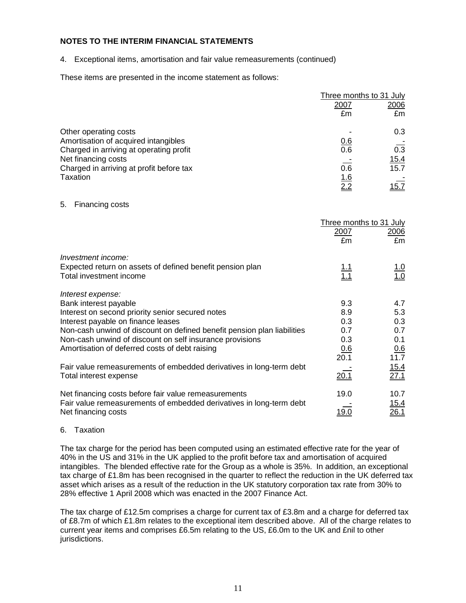4. Exceptional items, amortisation and fair value remeasurements (continued)

These items are presented in the income statement as follows:

|                                          |            | Three months to 31 July |  |  |
|------------------------------------------|------------|-------------------------|--|--|
|                                          | 2007       | 2006                    |  |  |
|                                          | £m         | £m                      |  |  |
| Other operating costs                    |            | 0.3                     |  |  |
| Amortisation of acquired intangibles     | 0.6        |                         |  |  |
| Charged in arriving at operating profit  | 0.6        | 0.3                     |  |  |
| Net financing costs                      |            | <u> 15.4</u>            |  |  |
| Charged in arriving at profit before tax | 0.6        | 15.7                    |  |  |
| Taxation                                 | <u>1.6</u> |                         |  |  |
|                                          | 2.2        | 15.7                    |  |  |

5. Financing costs

|                                                                         |                    | Three months to 31 July |
|-------------------------------------------------------------------------|--------------------|-------------------------|
|                                                                         | 2007<br>£m         | 2006<br>£m              |
|                                                                         |                    |                         |
| Investment income:                                                      |                    |                         |
| Expected return on assets of defined benefit pension plan               | $\frac{1.1}{1.1}$  | $\frac{1.0}{1.0}$       |
| Total investment income                                                 |                    |                         |
| Interest expense:                                                       |                    |                         |
| Bank interest payable                                                   | 9.3                | 4.7                     |
| Interest on second priority senior secured notes                        | 8.9                | 5.3                     |
| Interest payable on finance leases                                      | 0.3                | 0.3                     |
| Non-cash unwind of discount on defined benefit pension plan liabilities | 0.7                | 0.7                     |
| Non-cash unwind of discount on self insurance provisions                | 0.3                | 0.1                     |
| Amortisation of deferred costs of debt raising                          | $\frac{0.6}{20.1}$ | 0.6                     |
|                                                                         |                    | 11.7                    |
| Fair value remeasurements of embedded derivatives in long-term debt     |                    | 15.4                    |
| Total interest expense                                                  | 20.1               | 27.1                    |
| Net financing costs before fair value remeasurements                    | 19.0               | 10.7                    |
| Fair value remeasurements of embedded derivatives in long-term debt     |                    | 15.4                    |
| Net financing costs                                                     | <u> 19.0</u>       | 26.1                    |

#### 6. Taxation

The tax charge for the period has been computed using an estimated effective rate for the year of 40% in the US and 31% in the UK applied to the profit before tax and amortisation of acquired intangibles. The blended effective rate for the Group as a whole is 35%. In addition, an exceptional tax charge of £1.8m has been recognised in the quarter to reflect the reduction in the UK deferred tax asset which arises as a result of the reduction in the UK statutory corporation tax rate from 30% to 28% effective 1 April 2008 which was enacted in the 2007 Finance Act.

The tax charge of £12.5m comprises a charge for current tax of £3.8m and a charge for deferred tax of £8.7m of which £1.8m relates to the exceptional item described above. All of the charge relates to current year items and comprises £6.5m relating to the US, £6.0m to the UK and £nil to other jurisdictions.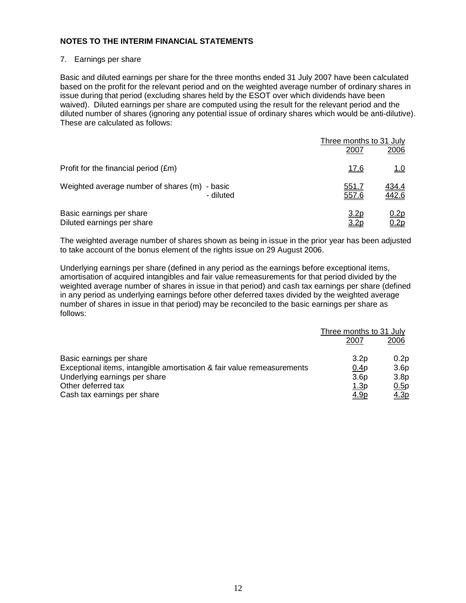### 7. Earnings per share

Basic and diluted earnings per share for the three months ended 31 July 2007 have been calculated based on the profit for the relevant period and on the weighted average number of ordinary shares in issue during that period (excluding shares held by the ESOT over which dividends have been waived). Diluted earnings per share are computed using the result for the relevant period and the diluted number of shares (ignoring any potential issue of ordinary shares which would be anti-dilutive). These are calculated as follows:

|                                                        |           | Three months to 31 July         |                       |
|--------------------------------------------------------|-----------|---------------------------------|-----------------------|
|                                                        |           | 2007                            | 2006                  |
| Profit for the financial period (£m)                   |           | <u>17.6</u>                     | $\underline{1.0}$     |
| Weighted average number of shares (m) - basic          | - diluted | 551.7<br>557.6                  | <u>434.4</u><br>442.6 |
| Basic earnings per share<br>Diluted earnings per share |           | <u>3.2p</u><br>3.2 <sub>D</sub> | 0.2p<br><u>0.2p</u>   |

The weighted average number of shares shown as being in issue in the prior year has been adjusted to take account of the bonus element of the rights issue on 29 August 2006.

Underlying earnings per share (defined in any period as the earnings before exceptional items, amortisation of acquired intangibles and fair value remeasurements for that period divided by the weighted average number of shares in issue in that period) and cash tax earnings per share (defined in any period as underlying earnings before other deferred taxes divided by the weighted average number of shares in issue in that period) may be reconciled to the basic earnings per share as follows:

|                                                                        | Three months to 31 July |                  |
|------------------------------------------------------------------------|-------------------------|------------------|
|                                                                        | 2007                    | 2006             |
| Basic earnings per share                                               | 3.2 <sub>p</sub>        | 0.2p             |
| Exceptional items, intangible amortisation & fair value remeasurements | 0.4p                    | 3.6 <sub>p</sub> |
| Underlying earnings per share                                          | 3.6 <sub>p</sub>        | 3.8 <sub>p</sub> |
| Other deferred tax                                                     | <u>1.3</u> p            | 0.5p             |
| Cash tax earnings per share                                            | <u>4.9p</u>             | <u>4.3p</u>      |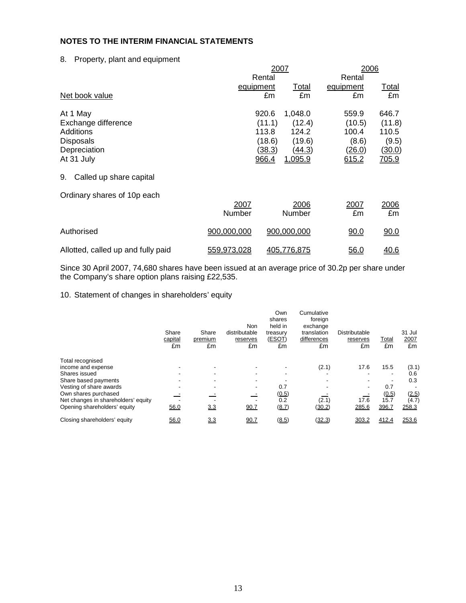8. Property, plant and equipment

|                                    | 2007        |        |                | 2006      |              |  |
|------------------------------------|-------------|--------|----------------|-----------|--------------|--|
|                                    |             | Rental |                | Rental    |              |  |
|                                    | equipment   |        | <b>Total</b>   | equipment | <u>Total</u> |  |
| Net book value                     |             | £m     | £m             | £m        | £m           |  |
| At 1 May                           |             | 920.6  | 1,048.0        | 559.9     | 646.7        |  |
| Exchange difference                |             | (11.1) | (12.4)         | (10.5)    | (11.8)       |  |
| Additions                          |             | 113.8  | 124.2          | 100.4     | 110.5        |  |
| <b>Disposals</b>                   |             | (18.6) | (19.6)         | (8.6)     | (9.5)        |  |
| Depreciation                       |             | (38.3) | (44.3)         | (26.0)    | (30.0)       |  |
| At 31 July                         |             | 966.4  | <u>1,095.9</u> | 615.2     | 705.9        |  |
| Called up share capital<br>9.      |             |        |                |           |              |  |
| Ordinary shares of 10p each        |             |        |                |           |              |  |
|                                    | 2007        |        | 2006           | 2007      | 2006         |  |
|                                    | Number      |        | Number         | £m        | £m           |  |
| Authorised                         | 900,000,000 |        | 900,000,000    | 90.0      | 90.0         |  |
| Allotted, called up and fully paid | 559,973,028 |        | 405,776,875    | 56.0      | 40.6         |  |

Since 30 April 2007, 74,680 shares have been issued at an average price of 30.2p per share under the Company's share option plans raising £22,535.

## 10. Statement of changes in shareholders' equity

|                                     | Share<br>capital<br>£m | Share<br>premium<br>£m | Non<br>distributable<br>reserves<br>£m | Own<br>shares<br>held in<br>treasury<br>(ESOT)<br>£m | Cumulative<br>foreign<br>exchange<br>translation<br>differences<br>£m | Distributable<br>reserves<br>£m | Total<br>£m              | 31 Jul<br>2007<br>£m |
|-------------------------------------|------------------------|------------------------|----------------------------------------|------------------------------------------------------|-----------------------------------------------------------------------|---------------------------------|--------------------------|----------------------|
| Total recognised                    |                        |                        |                                        |                                                      |                                                                       |                                 |                          |                      |
| income and expense                  |                        | ٠                      |                                        |                                                      | (2.1)                                                                 | 17.6                            | 15.5                     | (3.1)                |
| Shares issued                       |                        | -                      |                                        |                                                      |                                                                       |                                 | $\overline{\phantom{a}}$ | 0.6                  |
| Share based payments                |                        |                        |                                        |                                                      |                                                                       |                                 |                          | 0.3                  |
| Vesting of share awards             |                        |                        |                                        | 0.7                                                  |                                                                       |                                 | 0.7                      |                      |
| Own shares purchased                |                        |                        |                                        | (0.5)                                                |                                                                       |                                 | (0.5)                    | (2.5)                |
| Net changes in shareholders' equity |                        |                        |                                        | 0.2                                                  | (2.1)                                                                 | 17.6                            | 15.7                     | (4.7)                |
| Opening shareholders' equity        | 56.0                   | 3.3                    | 90.7                                   | (8.7)                                                | (30.2)                                                                | 285.6                           | 396.7                    | 258.3                |
| Closing shareholders' equity        | 56.0                   | 3.3                    | 90.7                                   | (8.5)                                                | (32.3)                                                                | 303.2                           | 412.4                    | 253.6                |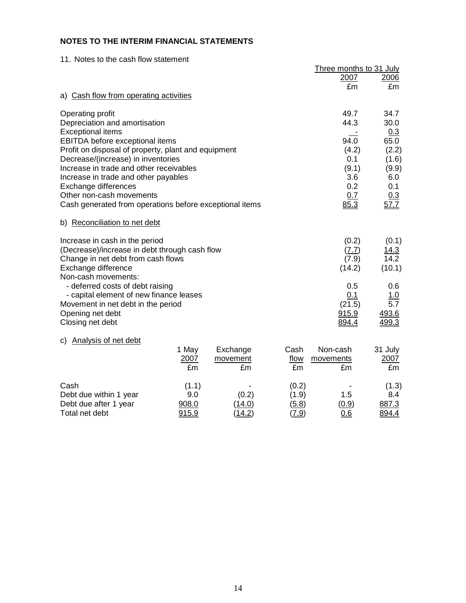11. Notes to the cash flow statement

|                                                                                                                                                                                                                                                                                                                                                      |                                |                            |                                  | Three months to 31 July<br>2007                                             | 2006                                                                                 |
|------------------------------------------------------------------------------------------------------------------------------------------------------------------------------------------------------------------------------------------------------------------------------------------------------------------------------------------------------|--------------------------------|----------------------------|----------------------------------|-----------------------------------------------------------------------------|--------------------------------------------------------------------------------------|
| a) Cash flow from operating activities                                                                                                                                                                                                                                                                                                               |                                |                            |                                  | £m                                                                          | £m                                                                                   |
| Operating profit<br>Depreciation and amortisation<br><b>Exceptional items</b><br>EBITDA before exceptional items<br>Profit on disposal of property, plant and equipment<br>Decrease/(increase) in inventories<br>Increase in trade and other receivables<br>Increase in trade and other payables<br>Exchange differences<br>Other non-cash movements |                                |                            |                                  | 49.7<br>44.3<br>94.0<br>(4.2)<br>0.1<br>(9.1)<br>3.6<br>0.2<br>0.7          | 34.7<br>30.0<br>0.3<br>65.0<br>(2.2)<br>(1.6)<br>(9.9)<br>6.0<br>0.1<br>0.3          |
| Cash generated from operations before exceptional items                                                                                                                                                                                                                                                                                              | 85.3                           | 57.7                       |                                  |                                                                             |                                                                                      |
| b) Reconciliation to net debt                                                                                                                                                                                                                                                                                                                        |                                |                            |                                  |                                                                             |                                                                                      |
| Increase in cash in the period<br>(Decrease)/increase in debt through cash flow<br>Change in net debt from cash flows<br>Exchange difference<br>Non-cash movements:<br>- deferred costs of debt raising<br>- capital element of new finance leases<br>Movement in net debt in the period<br>Opening net debt<br>Closing net debt                     |                                |                            |                                  | (0.2)<br>(7.7)<br>(7.9)<br>(14.2)<br>0.5<br>0.1<br>(21.5)<br>915.9<br>894.4 | (0.1)<br>$\frac{14.3}{14.2}$<br>(10.1)<br>0.6<br>$\frac{1.0}{5.7}$<br>493.6<br>499.3 |
| c) Analysis of net debt                                                                                                                                                                                                                                                                                                                              | 1 May<br>2007<br>£m            | Exchange<br>movement<br>£m | Cash<br>flow<br>£m               | Non-cash<br>movements<br>£m                                                 | 31 July<br>2007<br>£m                                                                |
| Cash<br>Debt due within 1 year<br>Debt due after 1 year<br>Total net debt                                                                                                                                                                                                                                                                            | (1.1)<br>9.0<br>908.0<br>915.9 | (0.2)<br>(14.0)<br>(14.2)  | (0.2)<br>(1.9)<br>(5.8)<br>(7.9) | 1.5<br>(0.9)<br>0.6                                                         | (1.3)<br>8.4<br>887.3<br>894.4                                                       |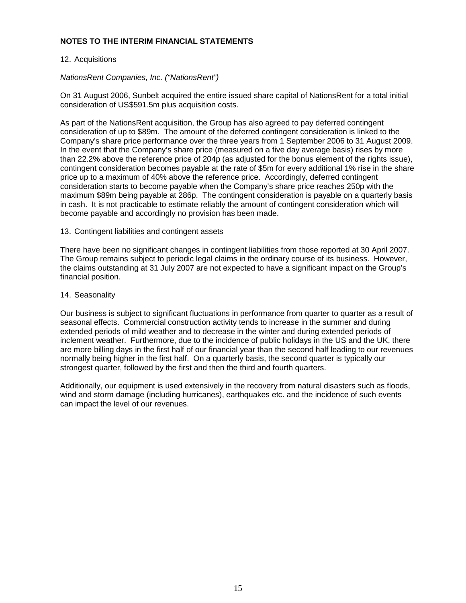### 12. Acquisitions

## NationsRent Companies, Inc. ("NationsRent")

On 31 August 2006, Sunbelt acquired the entire issued share capital of NationsRent for a total initial consideration of US\$591.5m plus acquisition costs.

As part of the NationsRent acquisition, the Group has also agreed to pay deferred contingent consideration of up to \$89m. The amount of the deferred contingent consideration is linked to the Company's share price performance over the three years from 1 September 2006 to 31 August 2009. In the event that the Company's share price (measured on a five day average basis) rises by more than 22.2% above the reference price of 204p (as adjusted for the bonus element of the rights issue), contingent consideration becomes payable at the rate of \$5m for every additional 1% rise in the share price up to a maximum of 40% above the reference price. Accordingly, deferred contingent consideration starts to become payable when the Company's share price reaches 250p with the maximum \$89m being payable at 286p. The contingent consideration is payable on a quarterly basis in cash. It is not practicable to estimate reliably the amount of contingent consideration which will become payable and accordingly no provision has been made.

#### 13. Contingent liabilities and contingent assets

There have been no significant changes in contingent liabilities from those reported at 30 April 2007. The Group remains subject to periodic legal claims in the ordinary course of its business. However, the claims outstanding at 31 July 2007 are not expected to have a significant impact on the Group's financial position.

### 14. Seasonality

Our business is subject to significant fluctuations in performance from quarter to quarter as a result of seasonal effects. Commercial construction activity tends to increase in the summer and during extended periods of mild weather and to decrease in the winter and during extended periods of inclement weather. Furthermore, due to the incidence of public holidays in the US and the UK, there are more billing days in the first half of our financial year than the second half leading to our revenues normally being higher in the first half. On a quarterly basis, the second quarter is typically our strongest quarter, followed by the first and then the third and fourth quarters.

Additionally, our equipment is used extensively in the recovery from natural disasters such as floods, wind and storm damage (including hurricanes), earthquakes etc. and the incidence of such events can impact the level of our revenues.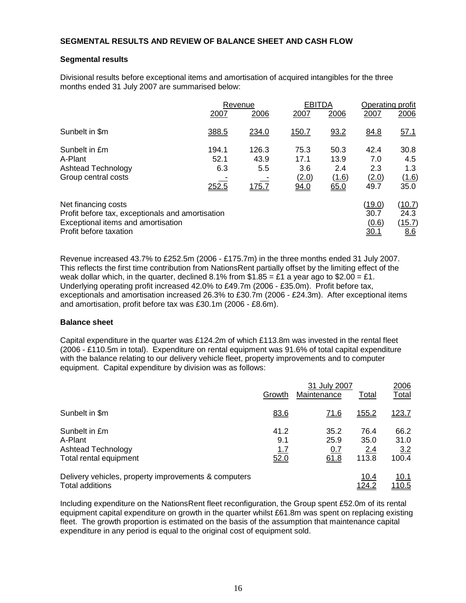### **SEGMENTAL RESULTS AND REVIEW OF BALANCE SHEET AND CASH FLOW**

### **Segmental results**

Divisional results before exceptional items and amortisation of acquired intangibles for the three months ended 31 July 2007 are summarised below:

|                                                                                                                                         |                               | Revenue                       |                                      | <b>EBITDA</b>                        |                                     | Operating profit                       |  |
|-----------------------------------------------------------------------------------------------------------------------------------------|-------------------------------|-------------------------------|--------------------------------------|--------------------------------------|-------------------------------------|----------------------------------------|--|
|                                                                                                                                         | 2007                          | 2006                          | 2007                                 | 2006                                 | 2007                                | 2006                                   |  |
| Sunbelt in \$m                                                                                                                          | 388.5                         | 234.0                         | <u>150.7</u>                         | 93.2                                 | 84.8                                | 57.1                                   |  |
| Sunbelt in £m<br>A-Plant<br>Ashtead Technology<br>Group central costs                                                                   | 194.1<br>52.1<br>6.3<br>252.5 | 126.3<br>43.9<br>5.5<br>175.7 | 75.3<br>17.1<br>3.6<br>(2.0)<br>94.0 | 50.3<br>13.9<br>2.4<br>(1.6)<br>65.0 | 42.4<br>7.0<br>2.3<br>(2.0)<br>49.7 | 30.8<br>4.5<br>1.3<br>(1.6)<br>35.0    |  |
| Net financing costs<br>Profit before tax, exceptionals and amortisation<br>Exceptional items and amortisation<br>Profit before taxation |                               |                               |                                      |                                      | (19.0)<br>30.7<br>(0.6)<br>30.1     | <u>(10.7)</u><br>24.3<br>(15.7)<br>8.6 |  |

Revenue increased 43.7% to £252.5m (2006 - £175.7m) in the three months ended 31 July 2007. This reflects the first time contribution from NationsRent partially offset by the limiting effect of the weak dollar which, in the quarter, declined 8.1% from  $$1.85 = £1$  a year ago to  $$2.00 = £1$ . Underlying operating profit increased 42.0% to £49.7m (2006 - £35.0m). Profit before tax, exceptionals and amortisation increased 26.3% to £30.7m (2006 - £24.3m). After exceptional items and amortisation, profit before tax was £30.1m (2006 - £8.6m).

### **Balance sheet**

Capital expenditure in the quarter was £124.2m of which £113.8m was invested in the rental fleet (2006 - £110.5m in total). Expenditure on rental equipment was 91.6% of total capital expenditure with the balance relating to our delivery vehicle fleet, property improvements and to computer equipment. Capital expenditure by division was as follows:

|                                                      |        | 2006        |              |              |
|------------------------------------------------------|--------|-------------|--------------|--------------|
|                                                      | Growth | Maintenance | Total        | Total        |
| Sunbelt in \$m                                       | 83.6   | <u>71.6</u> | <u>155.2</u> | <u>123.7</u> |
| Sunbelt in £m                                        | 41.2   | 35.2        | 76.4         | 66.2         |
| A-Plant                                              | 9.1    | 25.9        | 35.0         | 31.0         |
| <b>Ashtead Technology</b>                            | 1.7    | <u>0.7</u>  | 2.4          | 3.2          |
| Total rental equipment                               | 52.0   | 61.8        | 113.8        | 100.4        |
| Delivery vehicles, property improvements & computers |        |             | 10.4         | 10.1         |
| Total additions                                      |        |             | <u>124.2</u> | 110.5        |

Including expenditure on the NationsRent fleet reconfiguration, the Group spent £52.0m of its rental equipment capital expenditure on growth in the quarter whilst £61.8m was spent on replacing existing fleet. The growth proportion is estimated on the basis of the assumption that maintenance capital expenditure in any period is equal to the original cost of equipment sold.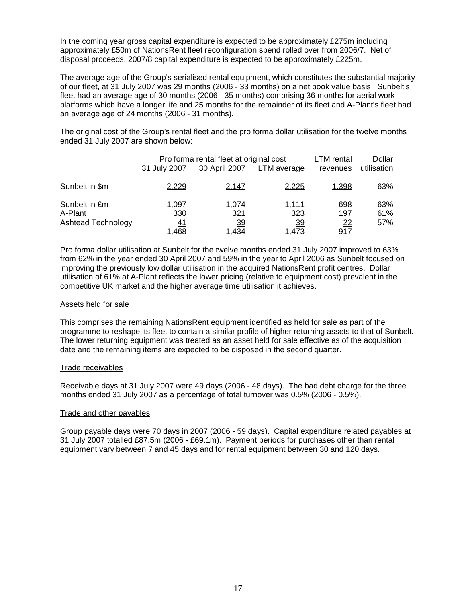In the coming year gross capital expenditure is expected to be approximately £275m including approximately £50m of NationsRent fleet reconfiguration spend rolled over from 2006/7. Net of disposal proceeds, 2007/8 capital expenditure is expected to be approximately £225m.

The average age of the Group's serialised rental equipment, which constitutes the substantial majority of our fleet, at 31 July 2007 was 29 months (2006 - 33 months) on a net book value basis. Sunbelt's fleet had an average age of 30 months (2006 - 35 months) comprising 36 months for aerial work platforms which have a longer life and 25 months for the remainder of its fleet and A-Plant's fleet had an average age of 24 months (2006 - 31 months).

The original cost of the Group's rental fleet and the pro forma dollar utilisation for the twelve months ended 31 July 2007 are shown below:

|                                                       | 31 July 2007                | Pro forma rental fleet at original cost<br>30 April 2007 | LTM average                               | LTM rental<br>revenues                | Dollar<br>utilisation |
|-------------------------------------------------------|-----------------------------|----------------------------------------------------------|-------------------------------------------|---------------------------------------|-----------------------|
| Sunbelt in \$m                                        | 2,229                       | <u>2,147</u>                                             | 2,225                                     | 1,398                                 | 63%                   |
| Sunbelt in £m<br>A-Plant<br><b>Ashtead Technology</b> | 1,097<br>330<br>41<br>1,468 | 1.074<br>321<br><u>39</u><br>.434                        | 1.111<br>323<br><u>39</u><br><u>1.473</u> | 698<br>197<br><u>22</u><br><u>917</u> | 63%<br>61%<br>57%     |

Pro forma dollar utilisation at Sunbelt for the twelve months ended 31 July 2007 improved to 63% from 62% in the year ended 30 April 2007 and 59% in the year to April 2006 as Sunbelt focused on improving the previously low dollar utilisation in the acquired NationsRent profit centres. Dollar utilisation of 61% at A-Plant reflects the lower pricing (relative to equipment cost) prevalent in the competitive UK market and the higher average time utilisation it achieves.

#### Assets held for sale

This comprises the remaining NationsRent equipment identified as held for sale as part of the programme to reshape its fleet to contain a similar profile of higher returning assets to that of Sunbelt. The lower returning equipment was treated as an asset held for sale effective as of the acquisition date and the remaining items are expected to be disposed in the second quarter.

#### Trade receivables

Receivable days at 31 July 2007 were 49 days (2006 - 48 days). The bad debt charge for the three months ended 31 July 2007 as a percentage of total turnover was 0.5% (2006 - 0.5%).

#### Trade and other payables

Group payable days were 70 days in 2007 (2006 - 59 days). Capital expenditure related payables at 31 July 2007 totalled £87.5m (2006 - £69.1m). Payment periods for purchases other than rental equipment vary between 7 and 45 days and for rental equipment between 30 and 120 days.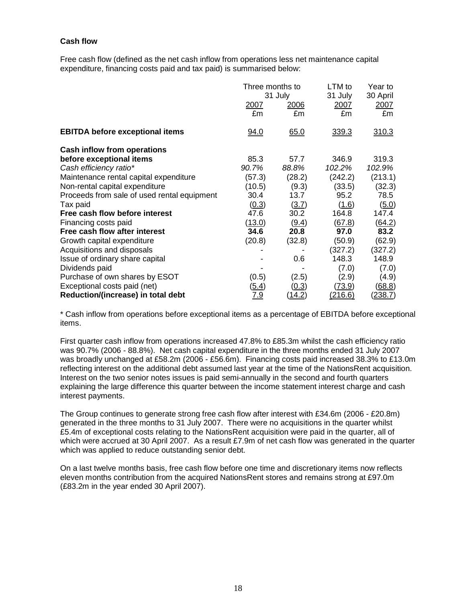## **Cash flow**

Free cash flow (defined as the net cash inflow from operations less net maintenance capital expenditure, financing costs paid and tax paid) is summarised below:

|                                             | Three months to<br>31 July |               | LTM to<br>31 July | Year to<br>30 April |
|---------------------------------------------|----------------------------|---------------|-------------------|---------------------|
|                                             | 2007<br>£m                 | 2006<br>£m    | 2007<br>£m        | 2007<br>£m          |
| <b>EBITDA before exceptional items</b>      | 94.0                       | 65.0          | 339.3             | 310.3               |
| <b>Cash inflow from operations</b>          |                            |               |                   |                     |
| before exceptional items                    | 85.3                       | 57.7          | 346.9             | 319.3               |
| Cash efficiency ratio*                      | 90.7%                      | 88.8%         | 102.2%            | 102.9%              |
| Maintenance rental capital expenditure      | (57.3)                     | (28.2)        | (242.2)           | (213.1)             |
| Non-rental capital expenditure              | (10.5)                     | (9.3)         | (33.5)            | (32.3)              |
| Proceeds from sale of used rental equipment | 30.4                       | 13.7          | 95.2              | 78.5                |
| Tax paid                                    | (0.3)                      | (3.7)         | (1.6)             | <u>(5.0)</u>        |
| Free cash flow before interest              | 47.6                       | 30.2          | 164.8             | 147.4               |
| Financing costs paid                        | <u>(13.0)</u>              | (9.4)         | (67.8)            | <u>(64.2)</u>       |
| Free cash flow after interest               | 34.6                       | 20.8          | 97.0              | 83.2                |
| Growth capital expenditure                  | (20.8)                     | (32.8)        | (50.9)            | (62.9)              |
| Acquisitions and disposals                  |                            |               | (327.2)           | (327.2)             |
| Issue of ordinary share capital             |                            | 0.6           | 148.3             | 148.9               |
| Dividends paid                              |                            |               | (7.0)             | (7.0)               |
| Purchase of own shares by ESOT              | (0.5)                      | (2.5)         | (2.9)             | (4.9)               |
| Exceptional costs paid (net)                | <u>(5.4)</u>               | <u>(0.3)</u>  | <u>(73.9)</u>     | (68.8)              |
| Reduction/(increase) in total debt          | <u>7.9</u>                 | <u>14.2</u> ) | <u>(216.6)</u>    | (238.7)             |

\* Cash inflow from operations before exceptional items as a percentage of EBITDA before exceptional items.

First quarter cash inflow from operations increased 47.8% to £85.3m whilst the cash efficiency ratio was 90.7% (2006 - 88.8%). Net cash capital expenditure in the three months ended 31 July 2007 was broadly unchanged at £58.2m (2006 - £56.6m). Financing costs paid increased 38.3% to £13.0m reflecting interest on the additional debt assumed last year at the time of the NationsRent acquisition. Interest on the two senior notes issues is paid semi-annually in the second and fourth quarters explaining the large difference this quarter between the income statement interest charge and cash interest payments.

The Group continues to generate strong free cash flow after interest with £34.6m (2006 - £20.8m) generated in the three months to 31 July 2007. There were no acquisitions in the quarter whilst £5.4m of exceptional costs relating to the NationsRent acquisition were paid in the quarter, all of which were accrued at 30 April 2007. As a result £7.9m of net cash flow was generated in the quarter which was applied to reduce outstanding senior debt.

On a last twelve months basis, free cash flow before one time and discretionary items now reflects eleven months contribution from the acquired NationsRent stores and remains strong at £97.0m (£83.2m in the year ended 30 April 2007).